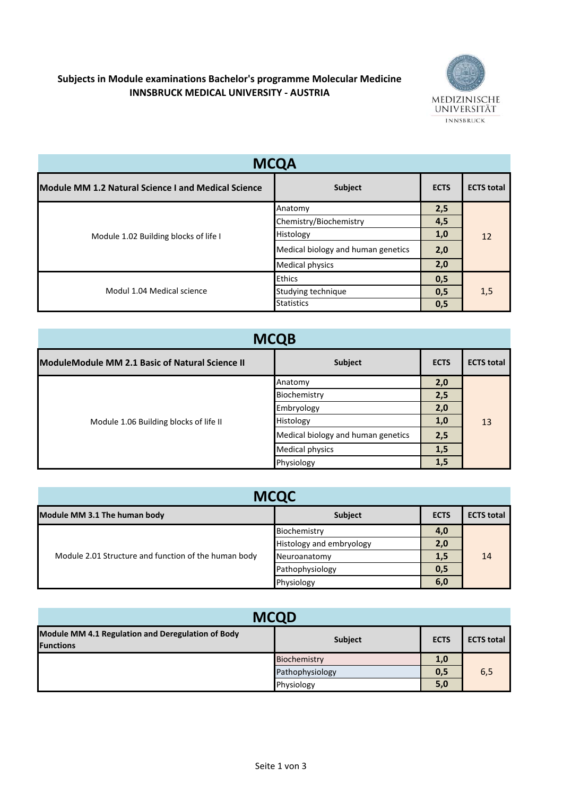## **Subjects in Module examinations Bachelor's programme Molecular Medicine INNSBRUCK MEDICAL UNIVERSITY ‐ AUSTRIA**



| <b>MCQA</b>                                         |                                    |             |                   |
|-----------------------------------------------------|------------------------------------|-------------|-------------------|
| Module MM 1.2 Natural Science I and Medical Science | Subject                            | <b>ECTS</b> | <b>ECTS</b> total |
|                                                     | Anatomy                            | 2,5         |                   |
|                                                     | Chemistry/Biochemistry             | 4,5         | 12                |
| Module 1.02 Building blocks of life I               | Histology                          | 1,0         |                   |
|                                                     | Medical biology and human genetics | 2,0         |                   |
|                                                     | <b>Medical physics</b>             | 2,0         |                   |
| Modul 1.04 Medical science                          | <b>Ethics</b>                      | 0,5         |                   |
|                                                     | Studying technique                 | 0,5         | 1,5               |
|                                                     | <b>Statistics</b>                  | 0,5         |                   |

| <b>MCQB</b>                                     |                                    |             |                   |
|-------------------------------------------------|------------------------------------|-------------|-------------------|
| ModuleModule MM 2.1 Basic of Natural Science II | <b>Subject</b>                     | <b>ECTS</b> | <b>ECTS total</b> |
|                                                 | Anatomy                            | 2,0         |                   |
|                                                 | Biochemistry                       | 2,5         |                   |
|                                                 | Embryology                         | 2,0         |                   |
| Module 1.06 Building blocks of life II          | Histology                          | 1,0         | 13                |
|                                                 | Medical biology and human genetics | 2,5         |                   |
|                                                 | <b>Medical physics</b>             | 1,5         |                   |
|                                                 | Physiology                         | 1,5         |                   |

| <b>MCQC</b>                                          |                          |             |                   |
|------------------------------------------------------|--------------------------|-------------|-------------------|
| Module MM 3.1 The human body                         | <b>Subject</b>           | <b>ECTS</b> | <b>ECTS</b> total |
| Module 2.01 Structure and function of the human body | Biochemistry             | 4,0         |                   |
|                                                      | Histology and embryology | 2,0         |                   |
|                                                      | Neuroanatomy             | 1,5         | 14                |
|                                                      | Pathophysiology          | 0,5         |                   |
|                                                      | Physiology               | 6,0         |                   |

| <b>MCQD</b>                                                           |                 |             |                   |
|-----------------------------------------------------------------------|-----------------|-------------|-------------------|
| Module MM 4.1 Regulation and Deregulation of Body<br><b>Functions</b> | <b>Subject</b>  | <b>ECTS</b> | <b>ECTS total</b> |
|                                                                       | Biochemistry    | 1,0         |                   |
|                                                                       | Pathophysiology | 0,5         | 6,5               |
|                                                                       | Physiology      | 5,0         |                   |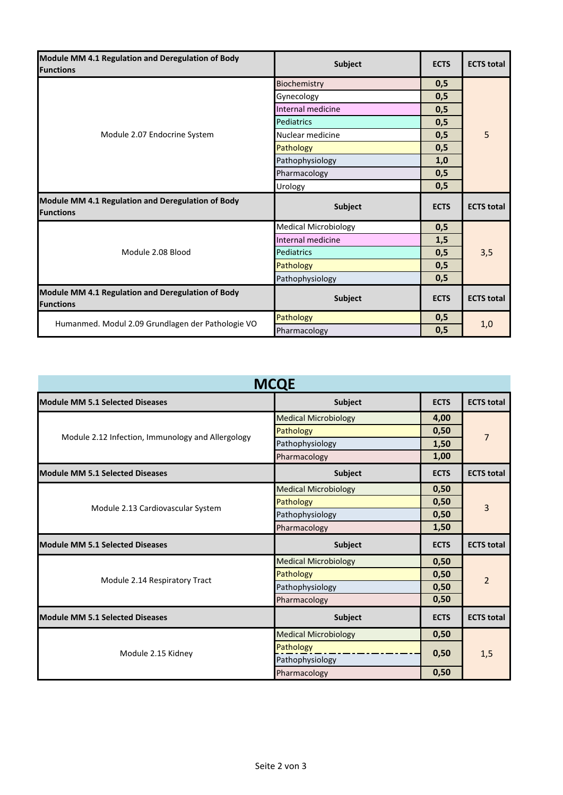| Module MM 4.1 Regulation and Deregulation of Body<br><b>Functions</b> | <b>Subject</b>              | <b>ECTS</b> | <b>ECTS</b> total |
|-----------------------------------------------------------------------|-----------------------------|-------------|-------------------|
|                                                                       | Biochemistry                | 0,5         |                   |
|                                                                       | Gynecology                  | 0,5         |                   |
|                                                                       | Internal medicine           | 0,5         |                   |
|                                                                       | <b>Pediatrics</b>           | 0,5         |                   |
| Module 2.07 Endocrine System                                          | Nuclear medicine            | 0,5         | 5                 |
|                                                                       | Pathology                   | 0,5         |                   |
|                                                                       | Pathophysiology             | 1,0         |                   |
|                                                                       | Pharmacology                | 0,5         |                   |
|                                                                       | Urology                     | 0,5         |                   |
|                                                                       |                             |             |                   |
| Module MM 4.1 Regulation and Deregulation of Body<br><b>Functions</b> | Subject                     | <b>ECTS</b> | <b>ECTS</b> total |
|                                                                       | <b>Medical Microbiology</b> | 0,5         |                   |
|                                                                       | Internal medicine           | 1,5         |                   |
| Module 2.08 Blood                                                     | <b>Pediatrics</b>           | 0,5         | 3,5               |
|                                                                       | Pathology                   | 0,5         |                   |
|                                                                       | Pathophysiology             | 0,5         |                   |
| Module MM 4.1 Regulation and Deregulation of Body<br><b>Functions</b> | <b>Subject</b>              | <b>ECTS</b> | <b>ECTS total</b> |
| Humanmed. Modul 2.09 Grundlagen der Pathologie VO                     | Pathology                   | 0,5         | 1,0               |

| <b>MCQE</b>                                       |                             |             |                   |
|---------------------------------------------------|-----------------------------|-------------|-------------------|
| <b>Module MM 5.1 Selected Diseases</b>            | <b>Subject</b>              | <b>ECTS</b> | <b>ECTS total</b> |
|                                                   | <b>Medical Microbiology</b> | 4,00        | $\overline{7}$    |
|                                                   | Pathology                   | 0,50        |                   |
| Module 2.12 Infection, Immunology and Allergology | Pathophysiology             | 1,50        |                   |
|                                                   | Pharmacology                | 1,00        |                   |
| <b>Module MM 5.1 Selected Diseases</b>            | <b>Subject</b>              | <b>ECTS</b> | <b>ECTS</b> total |
|                                                   | <b>Medical Microbiology</b> | 0,50        |                   |
|                                                   | Pathology                   | 0,50        |                   |
| Module 2.13 Cardiovascular System                 | Pathophysiology             | 0,50        | 3                 |
|                                                   | Pharmacology                | 1,50        |                   |
| <b>Module MM 5.1 Selected Diseases</b>            | <b>Subject</b>              | <b>ECTS</b> | <b>ECTS total</b> |
|                                                   | <b>Medical Microbiology</b> | 0,50        | $\overline{2}$    |
| Module 2.14 Respiratory Tract                     | Pathology                   | 0,50        |                   |
|                                                   | Pathophysiology             | 0,50        |                   |
|                                                   | Pharmacology                | 0,50        |                   |
| <b>Module MM 5.1 Selected Diseases</b>            | <b>Subject</b>              | <b>ECTS</b> | <b>ECTS total</b> |
|                                                   | <b>Medical Microbiology</b> | 0,50        | 1,5               |
| Module 2.15 Kidney                                | Pathology                   | 0,50        |                   |
|                                                   | Pathophysiology             |             |                   |
|                                                   | Pharmacology                | 0,50        |                   |